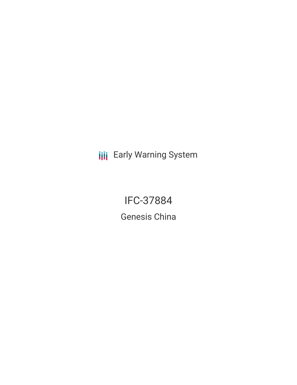**III** Early Warning System

IFC-37884 Genesis China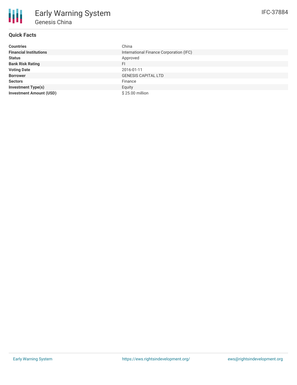# **Quick Facts**

| <b>Countries</b>               | China                                   |
|--------------------------------|-----------------------------------------|
| <b>Financial Institutions</b>  | International Finance Corporation (IFC) |
| <b>Status</b>                  | Approved                                |
| <b>Bank Risk Rating</b>        | FI                                      |
| <b>Voting Date</b>             | 2016-01-11                              |
| <b>Borrower</b>                | <b>GENESIS CAPITAL LTD</b>              |
| <b>Sectors</b>                 | Finance                                 |
| <b>Investment Type(s)</b>      | Equity                                  |
| <b>Investment Amount (USD)</b> | \$25.00 million                         |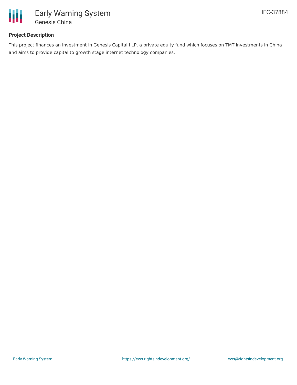

# **Project Description**

This project finances an investment in Genesis Capital I LP, a private equity fund which focuses on TMT investments in China and aims to provide capital to growth stage internet technology companies.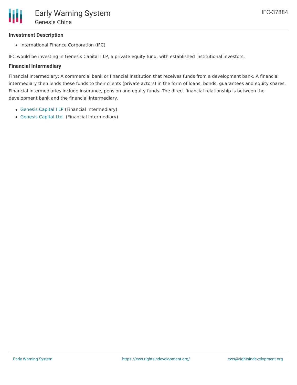## **Investment Description**

• International Finance Corporation (IFC)

IFC would be investing in Genesis Capital I LP, a private equity fund, with established institutional investors.

#### **Financial Intermediary**

Financial Intermediary: A commercial bank or financial institution that receives funds from a development bank. A financial intermediary then lends these funds to their clients (private actors) in the form of loans, bonds, guarantees and equity shares. Financial intermediaries include insurance, pension and equity funds. The direct financial relationship is between the development bank and the financial intermediary.

- [Genesis](file:///actor/1241/) Capital I LP (Financial Intermediary)
- [Genesis](file:///actor/1240/) Capital Ltd. (Financial Intermediary)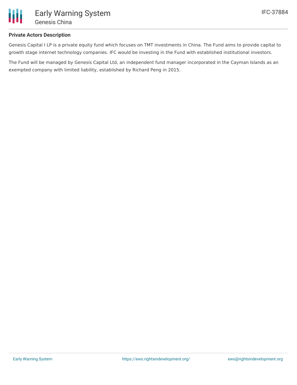

## **Private Actors Description**

Genesis Capital I LP is a private equity fund which focuses on TMT investments in China. The Fund aims to provide capital to growth stage internet technology companies. IFC would be investing in the Fund with established institutional investors.

The Fund will be managed by Genesis Capital Ltd, an independent fund manager incorporated in the Cayman Islands as an exempted company with limited liability, established by Richard Peng in 2015.